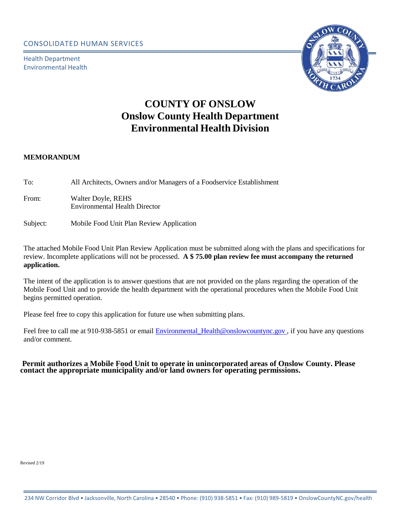Health Department Environmental Health



# **COUNTY OF ONSLOW Onslow County Health Department Environmental Health Division**

#### **MEMORANDUM**

| To:   | All Architects, Owners and/or Managers of a Foodservice Establishment |
|-------|-----------------------------------------------------------------------|
| From: | Walter Doyle, REHS<br>Environmental Health Director                   |

#### Subject: Mobile Food Unit Plan Review Application

The attached Mobile Food Unit Plan Review Application must be submitted along with the plans and specifications for review. Incomplete applications will not be processed. **A \$ 75.00 plan review fee must accompany the returned application.**

The intent of the application is to answer questions that are not provided on the plans regarding the operation of the Mobile Food Unit and to provide the health department with the operational procedures when the Mobile Food Unit begins permitted operation.

Please feel free to copy this application for future use when submitting plans.

Feel free to call me at 910-938-5851 or email Environmental Health@onslowcountync.gov, if you have any questions and/or comment.

**Permit authorizes a Mobile Food Unit to operate in unincorporated areas of Onslow County. Please contact the appropriate municipality and/or land owners for operating permissions.** 

Revised 2/19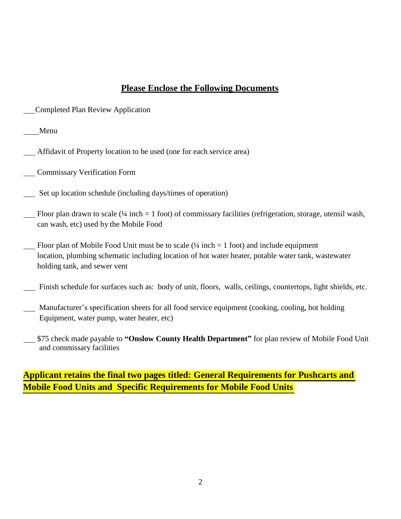## **Please Enclose the Following Documents**

Completed Plan Review Application

Menu

- Affidavit of Property location to be used (one for each service area)
- Commissary Verification Form
- Set up location schedule (including days/times of operation)
- Rloor plan drawn to scale ( $\frac{1}{4}$  inch = 1 foot) of commissary facilities (refrigeration, storage, utensil wash, can wash, etc) used by the Mobile Food
- Floor plan of Mobile Food Unit must be to scale  $(½$  inch  $= 1$  foot) and include equipment location, plumbing schematic including location of hot water heater, potable water tank, wastewater holding tank, and sewer vent
- Finish schedule for surfaces such as: body of unit, floors, walls, ceilings, countertops, light shields, etc.
- Manufacturer's specification sheets for all food service equipment (cooking, cooling, hot holding Equipment, water pump, water heater, etc)
- \$75 check made payable to **"Onslow County Health Department"** for plan review of Mobile Food Unit and commissary facilities

## **Applicant retains the final two pages titled: General Requirements for Pushcarts and Mobile Food Units and Specific Requirements for Mobile Food Units**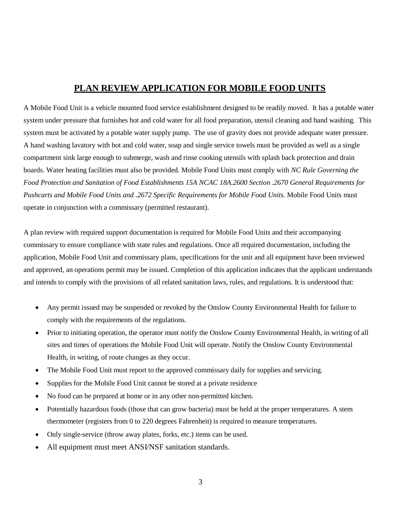## **PLAN REVIEW APPLICATION FOR MOBILE FOOD UNITS**

A Mobile Food Unit is a vehicle mounted food service establishment designed to be readily moved. It has a potable water system under pressure that furnishes hot and cold water for all food preparation, utensil cleaning and hand washing. This system must be activated by a potable water supply pump. The use of gravity does not provide adequate water pressure. A hand washing lavatory with hot and cold water, soap and single service towels must be provided as well as a single compartment sink large enough to submerge, wash and rinse cooking utensils with splash back protection and drain boards. Water heating facilities must also be provided. Mobile Food Units must comply with *NC Rule Governing the Food Protection and Sanitation of Food Establishments 15A NCAC 18A.2600 Section .2670 General Requirements for Pushcarts and Mobile Food Units and .2672 Specific Requirements for Mobile Food Units.* Mobile Food Units must operate in conjunction with a commissary (permitted restaurant).

A plan review with required support documentation is required for Mobile Food Units and their accompanying commissary to ensure compliance with state rules and regulations. Once all required documentation, including the application, Mobile Food Unit and commissary plans, specifications for the unit and all equipment have been reviewed and approved, an operations permit may be issued. Completion of this application indicates that the applicant understands and intends to comply with the provisions of all related sanitation laws, rules, and regulations. It is understood that:

- Any permit issued may be suspended or revoked by the Onslow County Environmental Health for failure to comply with the requirements of the regulations.
- Prior to initiating operation, the operator must notify the Onslow County Environmental Health, in writing of all sites and times of operations the Mobile Food Unit will operate. Notify the Onslow County Environmental Health, in writing, of route changes as they occur.
- The Mobile Food Unit must report to the approved commissary daily for supplies and servicing.
- Supplies for the Mobile Food Unit cannot be stored at a private residence
- No food can be prepared at home or in any other non-permitted kitchen.
- Potentially hazardous foods (those that can grow bacteria) must be held at the proper temperatures. A stem thermometer (registers from 0 to 220 degrees Fahrenheit) is required to measure temperatures.
- Only single-service (throw away plates, forks, etc.) items can be used.
- All equipment must meet ANSI/NSF sanitation standards.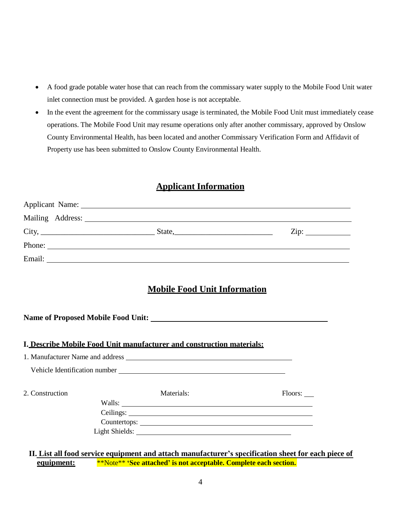- A food grade potable water hose that can reach from the commissary water supply to the Mobile Food Unit water inlet connection must be provided. A garden hose is not acceptable.
- In the event the agreement for the commissary usage is terminated, the Mobile Food Unit must immediately cease operations. The Mobile Food Unit may resume operations only after another commissary, approved by Onslow County Environmental Health, has been located and another Commissary Verification Form and Affidavit of Property use has been submitted to Onslow County Environmental Health.

### **Applicant Information**

|                 | Applicant Name: 1988.                                                                                                                                                                                                            |                           |
|-----------------|----------------------------------------------------------------------------------------------------------------------------------------------------------------------------------------------------------------------------------|---------------------------|
|                 |                                                                                                                                                                                                                                  |                           |
|                 | $City,$ State, State, State, State, State, State, State, State, State, State, State, State, State, State, State, State, State, State, State, State, State, State, State, State, State, State, State, State, State, State, State, | $\overline{\text{Zip: }}$ |
|                 | Phone:                                                                                                                                                                                                                           |                           |
|                 |                                                                                                                                                                                                                                  |                           |
|                 |                                                                                                                                                                                                                                  |                           |
|                 | <b>Mobile Food Unit Information</b>                                                                                                                                                                                              |                           |
|                 |                                                                                                                                                                                                                                  |                           |
|                 |                                                                                                                                                                                                                                  |                           |
|                 | I. Describe Mobile Food Unit manufacturer and construction materials:                                                                                                                                                            |                           |
|                 | 1. Manufacturer Name and address                                                                                                                                                                                                 |                           |
|                 |                                                                                                                                                                                                                                  |                           |
| 2. Construction | Materials:                                                                                                                                                                                                                       | Floors:                   |
|                 |                                                                                                                                                                                                                                  |                           |
|                 |                                                                                                                                                                                                                                  |                           |
|                 | Light Shields:                                                                                                                                                                                                                   |                           |

**equipment:** \*\*Note\*\* **'See attached' is not acceptable. Complete each section. II. List all food service equipment and attach manufacturer's specification sheet for each piece of**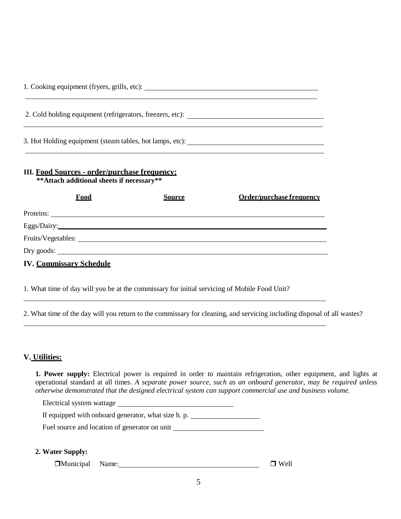| III. Food Sources - order/purchase frequency:<br>** Attach additional sheets if necessary**<br>Food | <b>Source</b> | <b>Order/purchase frequency</b> |
|-----------------------------------------------------------------------------------------------------|---------------|---------------------------------|
| Proteins:                                                                                           |               |                                 |
| Eggs/Dairy:                                                                                         |               |                                 |
|                                                                                                     |               |                                 |
|                                                                                                     |               |                                 |
| <b>IV. Commissary Schedule</b>                                                                      |               |                                 |

1. What time of day will you be at the commissary for initial servicing of Mobile Food Unit?

2. What time of the day will you return to the commissary for cleaning, and servicing including disposal of all wastes?

### **V. Utilities:**

**1. Power supply:** Electrical power is required in order to maintain refrigeration, other equipment, and lights at operational standard at all times. *A separate power source, such as an onboard generator, may be required unless otherwise demonstrated that the designed electrical system can support commercial use and business volume.*

Electrical system wattage

| If equipped with onboard generator, what size h. p. |  |
|-----------------------------------------------------|--|
|-----------------------------------------------------|--|

Fuel source and location of generator on unit

#### **2. Water Supply:**

 $\Box$ Municipal Name:  $\Box$  Well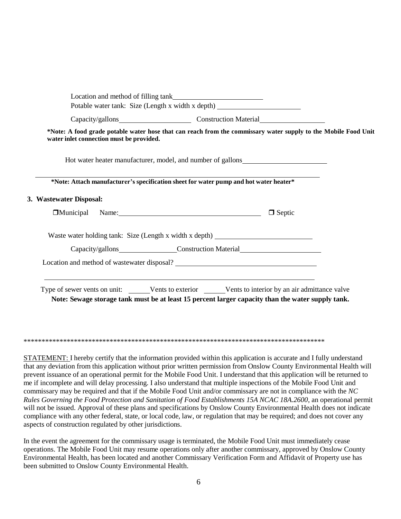|                         | *Note: A food grade potable water hose that can reach from the commissary water supply to the Mobile Food Unit<br>water inlet connection must be provided. |               |  |
|-------------------------|------------------------------------------------------------------------------------------------------------------------------------------------------------|---------------|--|
|                         | Hot water heater manufacturer, model, and number of gallons______________________                                                                          |               |  |
|                         | *Note: Attach manufacturer's specification sheet for water pump and hot water heater*                                                                      |               |  |
| 3. Wastewater Disposal: |                                                                                                                                                            |               |  |
|                         | Municipal Name: Mamerican Municipal Name:                                                                                                                  | $\Box$ Septic |  |
|                         | Waste water holding tank: Size (Length x width x depth) ________________________                                                                           |               |  |
|                         | Capacity/gallons_______________________Construction Material____________________                                                                           |               |  |
|                         | Location and method of wastewater disposal?                                                                                                                |               |  |
|                         |                                                                                                                                                            |               |  |

\*\*\*\*\*\*\*\*\*\*\*\*\*\*\*\*\*\*\*\*\*\*\*\*\*\*\*\*\*\*\*\*\*\*\*\*\*\*\*\*\*\*\*\*\*\*\*\*\*\*\*\*\*\*\*\*\*\*\*\*\*\*\*\*\*\*\*\*\*\*\*\*\*\*\*\*\*\*\*\*\*\*\*\*

STATEMENT: I hereby certify that the information provided within this application is accurate and I fully understand that any deviation from this application without prior written permission from Onslow County Environmental Health will prevent issuance of an operational permit for the Mobile Food Unit. I understand that this application will be returned to me if incomplete and will delay processing. I also understand that multiple inspections of the Mobile Food Unit and commissary may be required and that if the Mobile Food Unit and/or commissary are not in compliance with the *NC Rules Governing the Food Protection and Sanitation of Food Establishments 15A NCAC 18A.2600*, an operational permit will not be issued. Approval of these plans and specifications by Onslow County Environmental Health does not indicate compliance with any other federal, state, or local code, law, or regulation that may be required; and does not cover any aspects of construction regulated by other jurisdictions.

In the event the agreement for the commissary usage is terminated, the Mobile Food Unit must immediately cease operations. The Mobile Food Unit may resume operations only after another commissary, approved by Onslow County Environmental Health, has been located and another Commissary Verification Form and Affidavit of Property use has been submitted to Onslow County Environmental Health.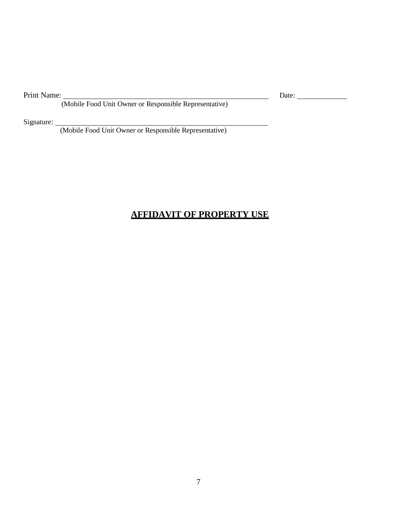Print Name:

(Mobile Food Unit Owner or Responsible Representative)

Signature:

(Mobile Food Unit Owner or Responsible Representative)

## **AFFIDAVIT OF PROPERTY USE**

Date: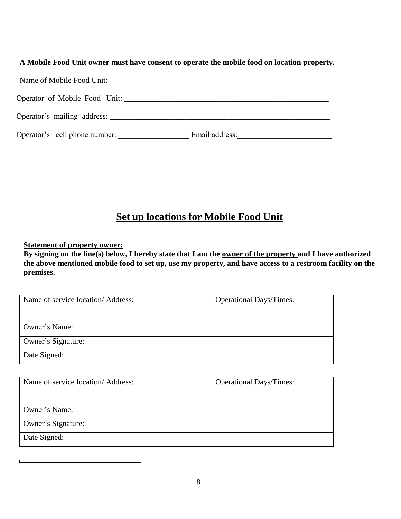| A Mobile Food Unit owner must have consent to operate the mobile food on location property. |  |  |
|---------------------------------------------------------------------------------------------|--|--|
|                                                                                             |  |  |

| Operator of Mobile Food Unit: |                |
|-------------------------------|----------------|
|                               |                |
| Operator's cell phone number: | Email address: |

# **Set up locations for Mobile Food Unit**

**Statement of property owner:**

**By signing on the line(s) below, I hereby state that I am the owner of the property and I have authorized the above mentioned mobile food to set up, use my property, and have access to a restroom facility on the premises.**

| Name of service location/Address: | <b>Operational Days/Times:</b> |
|-----------------------------------|--------------------------------|
| Owner's Name:                     |                                |
| Owner's Signature:                |                                |
| Date Signed:                      |                                |

| Name of service location/Address: | <b>Operational Days/Times:</b> |
|-----------------------------------|--------------------------------|
| Owner's Name:                     |                                |
| Owner's Signature:                |                                |
| Date Signed:                      |                                |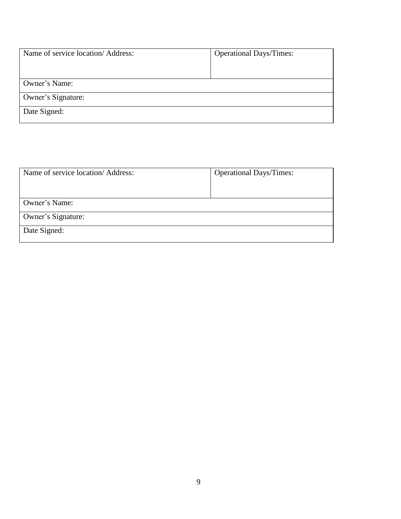| Name of service location/Address: | <b>Operational Days/Times:</b> |
|-----------------------------------|--------------------------------|
|                                   |                                |
| Owner's Name:                     |                                |
| Owner's Signature:                |                                |
| Date Signed:                      |                                |

| <b>Operational Days/Times:</b> |
|--------------------------------|
|                                |
|                                |
|                                |
|                                |
|                                |
|                                |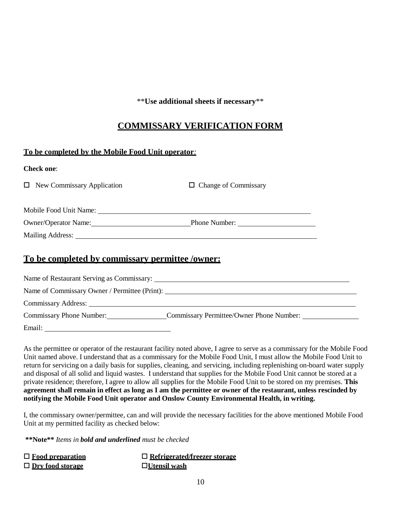\*\***Use additional sheets if necessary**\*\*

## **COMMISSARY VERIFICATION FORM**

### **To be completed by the Mobile Food Unit operator***:*

| $\Box$ Change of Commissary                                                                                    |
|----------------------------------------------------------------------------------------------------------------|
|                                                                                                                |
| Owner/Operator Name:<br><b>Phone Number:</b>                                                                   |
| Mailing Address: 1988 and 1989 and 1989 and 1989 and 1989 and 1989 and 1989 and 1989 and 1989 and 1989 and 198 |
|                                                                                                                |
|                                                                                                                |

### **To be completed by commissary permittee /owner:**

| Name of Restaurant Serving as Commissary: |                                               |  |
|-------------------------------------------|-----------------------------------------------|--|
|                                           | Name of Commissary Owner / Permittee (Print): |  |
|                                           |                                               |  |
| Commissary Phone Number:                  | Commissary Permittee/Owner Phone Number:      |  |
| Email:                                    |                                               |  |

As the permittee or operator of the restaurant facility noted above, I agree to serve as a commissary for the Mobile Food Unit named above. I understand that as a commissary for the Mobile Food Unit, I must allow the Mobile Food Unit to return for servicing on a daily basis for supplies, cleaning, and servicing, including replenishing on-board water supply and disposal of all solid and liquid wastes. I understand that supplies for the Mobile Food Unit cannot be stored at a private residence; therefore, I agree to allow all supplies for the Mobile Food Unit to be stored on my premises. **This agreement shall remain in effect as long as I am the permittee or owner of the restaurant, unless rescinded by notifying the Mobile Food Unit operator and Onslow County Environmental Health, in writing.**

I, the commissary owner/permittee, can and will provide the necessary facilities for the above mentioned Mobile Food Unit at my permitted facility as checked below:

**\*\*Note\*\*** *Items in bold and underlined must be checked*

| $\Box$ Food preparation | $\Box$ Refrigerated/freezer storage |
|-------------------------|-------------------------------------|
| $\Box$ Dry food storage | $\Box$ Utensil wash                 |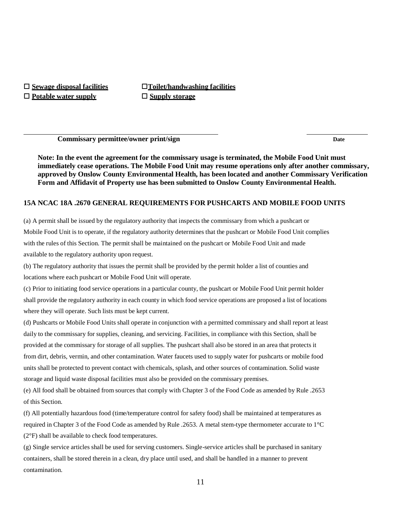**Potable water supply Supply storage**

**Sewage disposal facilities Toilet/handwashing facilities**

**Commissary permittee/owner print/sign Date**

**Note: In the event the agreement for the commissary usage is terminated, the Mobile Food Unit must immediately cease operations. The Mobile Food Unit may resume operations only after another commissary, approved by Onslow County Environmental Health, has been located and another Commissary Verification Form and Affidavit of Property use has been submitted to Onslow County Environmental Health.**

#### **15A NCAC 18A .2670 GENERAL REQUIREMENTS FOR PUSHCARTS AND MOBILE FOOD UNITS**

(a) A permit shall be issued by the regulatory authority that inspects the commissary from which a pushcart or Mobile Food Unit is to operate, if the regulatory authority determines that the pushcart or Mobile Food Unit complies with the rules of this Section. The permit shall be maintained on the pushcart or Mobile Food Unit and made available to the regulatory authority upon request.

(b) The regulatory authority that issues the permit shall be provided by the permit holder a list of counties and locations where each pushcart or Mobile Food Unit will operate.

(c) Prior to initiating food service operations in a particular county, the pushcart or Mobile Food Unit permit holder shall provide the regulatory authority in each county in which food service operations are proposed a list of locations where they will operate. Such lists must be kept current.

(d) Pushcarts or Mobile Food Units shall operate in conjunction with a permitted commissary and shall report at least daily to the commissary for supplies, cleaning, and servicing. Facilities, in compliance with this Section, shall be provided at the commissary for storage of all supplies. The pushcart shall also be stored in an area that protects it from dirt, debris, vermin, and other contamination. Water faucets used to supply water for pushcarts or mobile food units shall be protected to prevent contact with chemicals, splash, and other sources of contamination. Solid waste storage and liquid waste disposal facilities must also be provided on the commissary premises.

(e) All food shall be obtained from sources that comply with Chapter 3 of the Food Code as amended by Rule .2653 of this Section.

(f) All potentially hazardous food (time/temperature control for safety food) shall be maintained at temperatures as required in Chapter 3 of the Food Code as amended by Rule .2653. A metal stem-type thermometer accurate to 1°C (2°F) shall be available to check food temperatures.

(g) Single service articles shall be used for serving customers. Single-service articles shall be purchased in sanitary containers, shall be stored therein in a clean, dry place until used, and shall be handled in a manner to prevent contamination.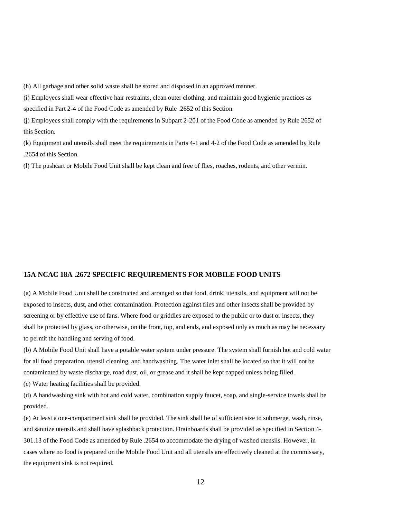(h) All garbage and other solid waste shall be stored and disposed in an approved manner.

(i) Employees shall wear effective hair restraints, clean outer clothing, and maintain good hygienic practices as specified in Part 2-4 of the Food Code as amended by Rule .2652 of this Section.

(j) Employees shall comply with the requirements in Subpart 2-201 of the Food Code as amended by Rule 2652 of this Section.

(k) Equipment and utensils shall meet the requirements in Parts 4-1 and 4-2 of the Food Code as amended by Rule .2654 of this Section.

(l) The pushcart or Mobile Food Unit shall be kept clean and free of flies, roaches, rodents, and other vermin.

#### **15A NCAC 18A .2672 SPECIFIC REQUIREMENTS FOR MOBILE FOOD UNITS**

(a) A Mobile Food Unit shall be constructed and arranged so that food, drink, utensils, and equipment will not be exposed to insects, dust, and other contamination. Protection against flies and other insects shall be provided by screening or by effective use of fans. Where food or griddles are exposed to the public or to dust or insects, they shall be protected by glass, or otherwise, on the front, top, and ends, and exposed only as much as may be necessary to permit the handling and serving of food.

(b) A Mobile Food Unit shall have a potable water system under pressure. The system shall furnish hot and cold water for all food preparation, utensil cleaning, and handwashing. The water inlet shall be located so that it will not be contaminated by waste discharge, road dust, oil, or grease and it shall be kept capped unless being filled.

(c) Water heating facilities shall be provided.

(d) A handwashing sink with hot and cold water, combination supply faucet, soap, and single-service towels shall be provided.

(e) At least a one-compartment sink shall be provided. The sink shall be of sufficient size to submerge, wash, rinse, and sanitize utensils and shall have splashback protection. Drainboards shall be provided as specified in Section 4- 301.13 of the Food Code as amended by Rule .2654 to accommodate the drying of washed utensils. However, in cases where no food is prepared on the Mobile Food Unit and all utensils are effectively cleaned at the commissary, the equipment sink is not required.